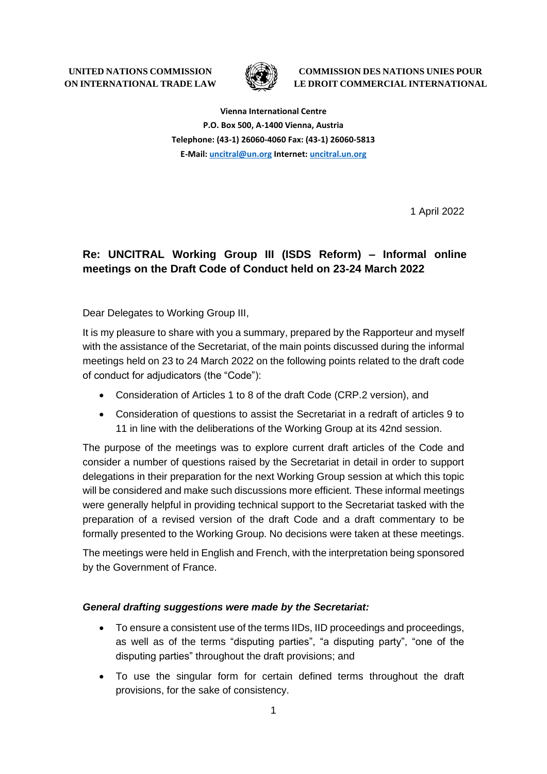**UNITED NATIONS COMMISSION ON INTERNATIONAL TRADE LAW**

![](_page_0_Picture_1.jpeg)

**COMMISSION DES NATIONS UNIES POUR LE DROIT COMMERCIAL INTERNATIONAL**

**Vienna International Centre P.O. Box 500, A-1400 Vienna, Austria Telephone: (43-1) 26060-4060 Fax: (43-1) 26060-5813 E-Mail: [uncitral@un.org](mailto:uncitral@un.org) Internet: [uncitral.un.org](http://www.uncitral.org/)**

1 April 2022

# **Re: UNCITRAL Working Group III (ISDS Reform) – Informal online meetings on the Draft Code of Conduct held on 23-24 March 2022**

Dear Delegates to Working Group III,

It is my pleasure to share with you a summary, prepared by the Rapporteur and myself with the assistance of the Secretariat, of the main points discussed during the informal meetings held on 23 to 24 March 2022 on the following points related to the draft code of conduct for adjudicators (the "Code"):

- Consideration of Articles 1 to 8 of the draft Code (CRP.2 version), and
- Consideration of questions to assist the Secretariat in a redraft of articles 9 to 11 in line with the deliberations of the Working Group at its 42nd session.

The purpose of the meetings was to explore current draft articles of the Code and consider a number of questions raised by the Secretariat in detail in order to support delegations in their preparation for the next Working Group session at which this topic will be considered and make such discussions more efficient. These informal meetings were generally helpful in providing technical support to the Secretariat tasked with the preparation of a revised version of the draft Code and a draft commentary to be formally presented to the Working Group. No decisions were taken at these meetings.

The meetings were held in English and French, with the interpretation being sponsored by the Government of France.

#### *General drafting suggestions were made by the Secretariat:*

- To ensure a consistent use of the terms IIDs, IID proceedings and proceedings, as well as of the terms "disputing parties", "a disputing party", "one of the disputing parties" throughout the draft provisions; and
- To use the singular form for certain defined terms throughout the draft provisions, for the sake of consistency.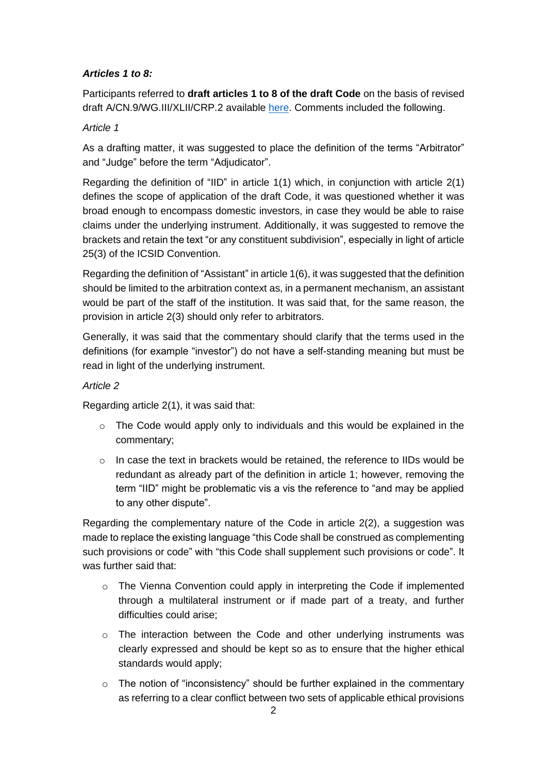# *Articles 1 to 8:*

Participants referred to **draft articles 1 to 8 of the draft Code** on the basis of revised draft A/CN.9/WG.III/XLII/CRP.2 available [here.](https://uncitral.un.org/sites/uncitral.un.org/files/crp_2_e.pdf) Comments included the following.

# *Article 1*

As a drafting matter, it was suggested to place the definition of the terms "Arbitrator" and "Judge" before the term "Adjudicator".

Regarding the definition of "IID" in article 1(1) which, in conjunction with article 2(1) defines the scope of application of the draft Code, it was questioned whether it was broad enough to encompass domestic investors, in case they would be able to raise claims under the underlying instrument. Additionally, it was suggested to remove the brackets and retain the text "or any constituent subdivision", especially in light of article 25(3) of the ICSID Convention.

Regarding the definition of "Assistant" in article 1(6), it was suggested that the definition should be limited to the arbitration context as, in a permanent mechanism, an assistant would be part of the staff of the institution. It was said that, for the same reason, the provision in article 2(3) should only refer to arbitrators.

Generally, it was said that the commentary should clarify that the terms used in the definitions (for example "investor") do not have a self-standing meaning but must be read in light of the underlying instrument.

# *Article 2*

Regarding article 2(1), it was said that:

- $\circ$  The Code would apply only to individuals and this would be explained in the commentary;
- $\circ$  In case the text in brackets would be retained, the reference to IIDs would be redundant as already part of the definition in article 1; however, removing the term "IID" might be problematic vis a vis the reference to "and may be applied to any other dispute".

Regarding the complementary nature of the Code in article 2(2), a suggestion was made to replace the existing language "this Code shall be construed as complementing such provisions or code" with "this Code shall supplement such provisions or code". It was further said that:

- $\circ$  The Vienna Convention could apply in interpreting the Code if implemented through a multilateral instrument or if made part of a treaty, and further difficulties could arise;
- $\circ$  The interaction between the Code and other underlying instruments was clearly expressed and should be kept so as to ensure that the higher ethical standards would apply;
- $\circ$  The notion of "inconsistency" should be further explained in the commentary as referring to a clear conflict between two sets of applicable ethical provisions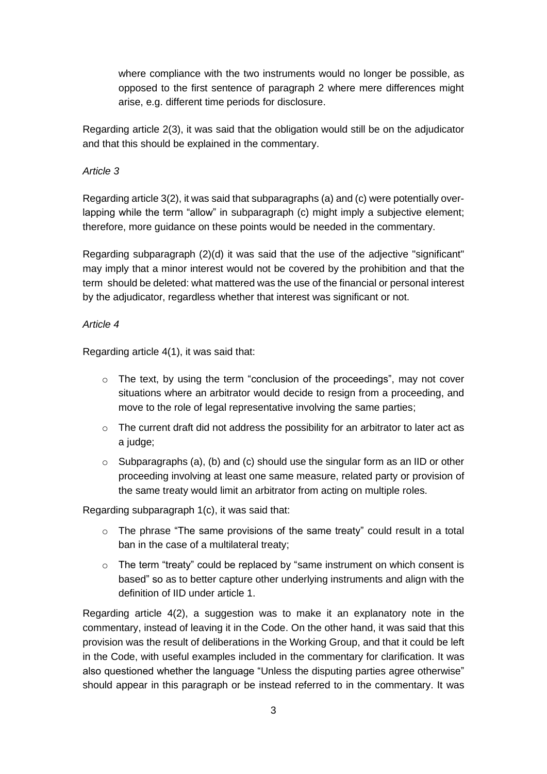where compliance with the two instruments would no longer be possible, as opposed to the first sentence of paragraph 2 where mere differences might arise, e.g. different time periods for disclosure.

Regarding article 2(3), it was said that the obligation would still be on the adjudicator and that this should be explained in the commentary.

#### *Article 3*

Regarding article 3(2), it was said that subparagraphs (a) and (c) were potentially overlapping while the term "allow" in subparagraph (c) might imply a subjective element; therefore, more guidance on these points would be needed in the commentary.

Regarding subparagraph (2)(d) it was said that the use of the adjective "significant" may imply that a minor interest would not be covered by the prohibition and that the term should be deleted: what mattered was the use of the financial or personal interest by the adjudicator, regardless whether that interest was significant or not.

#### *Article 4*

Regarding article 4(1), it was said that:

- $\circ$  The text, by using the term "conclusion of the proceedings", may not cover situations where an arbitrator would decide to resign from a proceeding, and move to the role of legal representative involving the same parties;
- o The current draft did not address the possibility for an arbitrator to later act as a judge;
- $\circ$  Subparagraphs (a), (b) and (c) should use the singular form as an IID or other proceeding involving at least one same measure, related party or provision of the same treaty would limit an arbitrator from acting on multiple roles.

Regarding subparagraph 1(c), it was said that:

- o The phrase "The same provisions of the same treaty" could result in a total ban in the case of a multilateral treaty;
- $\circ$  The term "treaty" could be replaced by "same instrument on which consent is based" so as to better capture other underlying instruments and align with the definition of IID under article 1.

Regarding article 4(2), a suggestion was to make it an explanatory note in the commentary, instead of leaving it in the Code. On the other hand, it was said that this provision was the result of deliberations in the Working Group, and that it could be left in the Code, with useful examples included in the commentary for clarification. It was also questioned whether the language "Unless the disputing parties agree otherwise" should appear in this paragraph or be instead referred to in the commentary. It was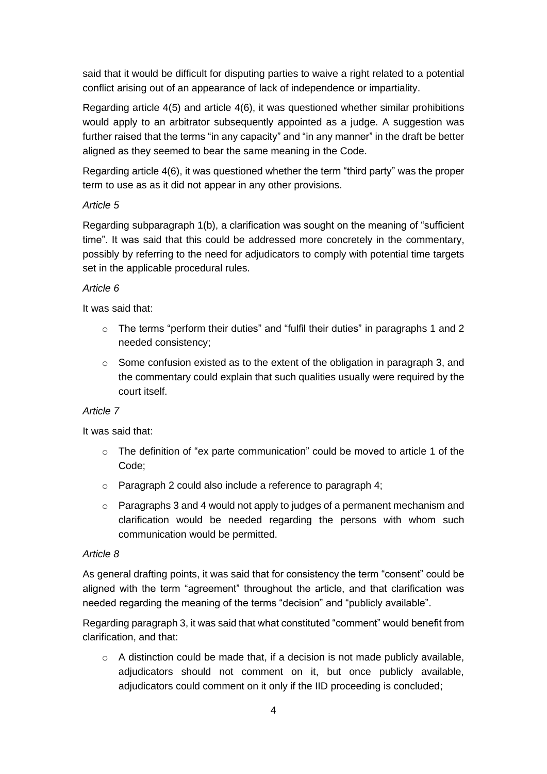said that it would be difficult for disputing parties to waive a right related to a potential conflict arising out of an appearance of lack of independence or impartiality.

Regarding article 4(5) and article 4(6), it was questioned whether similar prohibitions would apply to an arbitrator subsequently appointed as a judge. A suggestion was further raised that the terms "in any capacity" and "in any manner" in the draft be better aligned as they seemed to bear the same meaning in the Code.

Regarding article 4(6), it was questioned whether the term "third party" was the proper term to use as as it did not appear in any other provisions.

#### *Article 5*

Regarding subparagraph 1(b), a clarification was sought on the meaning of "sufficient time". It was said that this could be addressed more concretely in the commentary, possibly by referring to the need for adjudicators to comply with potential time targets set in the applicable procedural rules.

# *Article 6*

It was said that:

- $\circ$  The terms "perform their duties" and "fulfil their duties" in paragraphs 1 and 2 needed consistency;
- o Some confusion existed as to the extent of the obligation in paragraph 3, and the commentary could explain that such qualities usually were required by the court itself.

# *Article 7*

It was said that:

- $\circ$  The definition of "ex parte communication" could be moved to article 1 of the Code;
- o Paragraph 2 could also include a reference to paragraph 4;
- $\circ$  Paragraphs 3 and 4 would not apply to judges of a permanent mechanism and clarification would be needed regarding the persons with whom such communication would be permitted.

#### *Article 8*

As general drafting points, it was said that for consistency the term "consent" could be aligned with the term "agreement" throughout the article, and that clarification was needed regarding the meaning of the terms "decision" and "publicly available".

Regarding paragraph 3, it was said that what constituted "comment" would benefit from clarification, and that:

o A distinction could be made that, if a decision is not made publicly available, adjudicators should not comment on it, but once publicly available, adjudicators could comment on it only if the IID proceeding is concluded;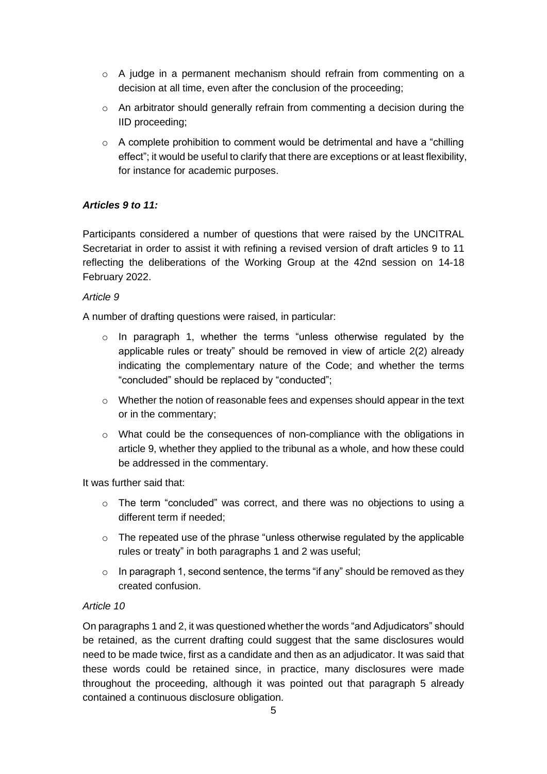- $\circ$  A judge in a permanent mechanism should refrain from commenting on a decision at all time, even after the conclusion of the proceeding;
- $\circ$  An arbitrator should generally refrain from commenting a decision during the IID proceeding;
- $\circ$  A complete prohibition to comment would be detrimental and have a "chilling" effect"; it would be useful to clarify that there are exceptions or at least flexibility, for instance for academic purposes.

# *Articles 9 to 11:*

Participants considered a number of questions that were raised by the UNCITRAL Secretariat in order to assist it with refining a revised version of draft articles 9 to 11 reflecting the deliberations of the Working Group at the 42nd session on 14-18 February 2022.

#### *Article 9*

A number of drafting questions were raised, in particular:

- $\circ$  In paragraph 1, whether the terms "unless otherwise regulated by the applicable rules or treaty" should be removed in view of article 2(2) already indicating the complementary nature of the Code; and whether the terms "concluded" should be replaced by "conducted";
- $\circ$  Whether the notion of reasonable fees and expenses should appear in the text or in the commentary;
- o What could be the consequences of non-compliance with the obligations in article 9, whether they applied to the tribunal as a whole, and how these could be addressed in the commentary.

It was further said that:

- $\circ$  The term "concluded" was correct, and there was no objections to using a different term if needed;
- o The repeated use of the phrase "unless otherwise regulated by the applicable rules or treaty" in both paragraphs 1 and 2 was useful;
- $\circ$  In paragraph 1, second sentence, the terms "if any" should be removed as they created confusion.

# *Article 10*

On paragraphs 1 and 2, it was questioned whether the words "and Adjudicators" should be retained, as the current drafting could suggest that the same disclosures would need to be made twice, first as a candidate and then as an adjudicator. It was said that these words could be retained since, in practice, many disclosures were made throughout the proceeding, although it was pointed out that paragraph 5 already contained a continuous disclosure obligation.